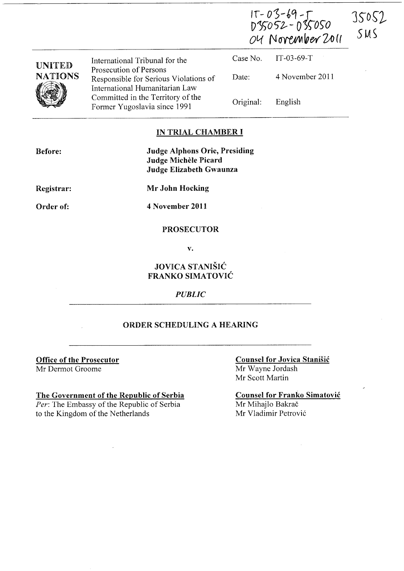|                                 |                                                                                                   | IT-03-69-T<br>D35052-035050<br>OU November 2011 |                 | 35052<br>SMS |
|---------------------------------|---------------------------------------------------------------------------------------------------|-------------------------------------------------|-----------------|--------------|
|                                 | International Tribunal for the                                                                    | Case No.                                        | $IT-03-69-T$    |              |
| <b>UNITED</b><br><b>NATIONS</b> | Prosecution of Persons<br>Responsible for Serious Violations of<br>International Humanitarian Law | Date:                                           | 4 November 2011 |              |
|                                 | Committed in the Territory of the<br>Former Yugoslavia since 1991                                 | Original:                                       | English         |              |

# IN TRIAL CHAMBER I

| <b>Before:</b> | <b>Judge Alphons Orie, Presiding</b><br>Judge Michèle Picard |  |  |
|----------------|--------------------------------------------------------------|--|--|
|                | Judge Elizabeth Gwaunza                                      |  |  |
| Registrar:     | Mr John Hocking                                              |  |  |

Order of:

4 November 2011

## PROSECUTOR

v.

# JOVICA STANISIC FRANKO SIMATOVIC

#### *PUBLIC*

# ORDER SCHEDULiNG A HEARING

Office of the Prosecutor Mr Dermot Groome

## The Government of the Republic of Serbia

*Per:* The Embassy of the Republic of Serbia to the Kingdom of the Netherlands

## Counsel for Jovica Stanisic Mr Wayne Jordash Mr Scott Martin

Counsel for Franko Simatovic Mr Mihajlo Bakrač Mr Vladimir Petrović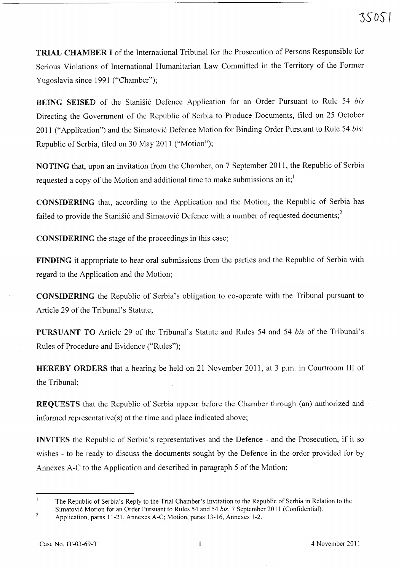TRIAL CHAMBER I of the International Tribunal for the Prosecution of Persons Responsible for Serious Violations of International Humanitarian Law Committed in the Territory of the Former Yugoslavia since 1991 ("Chamber");

BEING SEISED of the Stanišić Defence Application for an Order Pursuant to Rule 54 *bis* Directing the Government of the Republic of Serbia to Produce Documents, filed on 25 October 2011 ("Application") and the Simatović Defence Motion for Binding Order Pursuant to Rule 54 *bis*: Republic of Serbia, filed on 30 May 2011 ("Motion");

NOTING that, upon an invitation from the Chamber, on 7 September 2011, the Republic of Serbia requested a copy of the Motion and additional time to make submissions on it;<sup>1</sup>

CONSIDERING that, according to the Application and the Motion, the Republic of Serbia has failed to provide the Stanisić and Simatović Defence with a number of requested documents; $<sup>2</sup>$ </sup>

CONSIDERING the stage of the proceedings in this case;

FINDING it appropriate to hear oral submissions from the parties and the Republic of Serbia with regard to the Application and the Motion;

CONSIDERING the Republic of Serbia's obligation to co-operate with the Tribunal pursuant to Article 29 of the Tribunal's Statute;

PURSUANT TO Article 29 of the Tribunal's Statute and Rules 54 and 54 *bis* of the Tribunal's Rules of Procedure and Evidence ("Rules");

HEREBY ORDERS that a hearing be held on 21 November 2011, at 3 p.m. in Courtroom III of the Tribunal;

REQUESTS that the Republic of Serbia appear before the Chamber through (an) authorized and informed representative(s) at the time and place indicated above;

INVITES the Republic of Serbia's representatives and the Defence - and the Prosecution, if it so wishes - to be ready to discuss the documents sought by the Defence in the order provided for by Annexes A-C to the Application and described in paragraph 5 of the Motion;

The Republic of Serbia's Reply to the Trial Chamber's Invitation to the Republic of Serbia in Relation to the Simatovic Motion for an Order Pursuant to Rules 54 and 54 *bis,* 7 September 2011 (Confidential).

 $\overline{2}$ Application, paras 11-21, Annexes A-C; Motion, paras 13-16, Annexes 1-2.